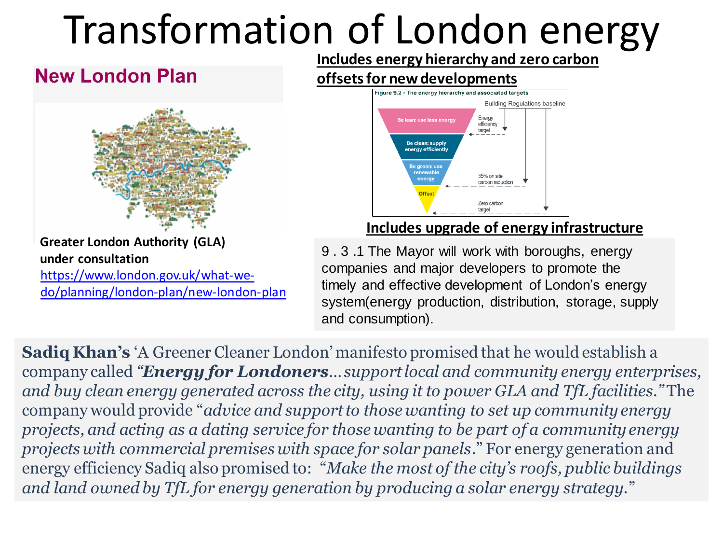# Transformation of London energy

#### **New London Plan**



https://www.london.gov.uk/what-we[do/planning/london-plan/new-london-plan](https://www.london.gov.uk/what-we-do/planning/london-plan/new-london-plan) **Greater London Authority (GLA) under consultation**

**Includes energy hierarchy and zero carbon** 

### **offsets for new developments**



#### **Includes upgrade of energy infrastructure**

9 . 3 .1 The Mayor will work with boroughs, energy companies and major developers to promote the timely and effective development of London's energy system(energy production, distribution, storage, supply and consumption).

**Sadiq Khan's** 'A Greener Cleaner London' manifesto promised that he would establish a company called *"Energy for Londoners… support local and community energy enterprises, and buy clean energy generated across the city, using it to power GLA and TfL facilities."* The company would provide "*advice and support to those wanting to set up community energy projects, and acting as a dating service for those wanting to be part of a community energy projects with commercial premises with space for solar panels*." For energy generation and energy efficiency Sadiq also promised to: "*Make the most of the city's roofs, public buildings and land owned by TfL for energy generation by producing a solar energy strategy.*"